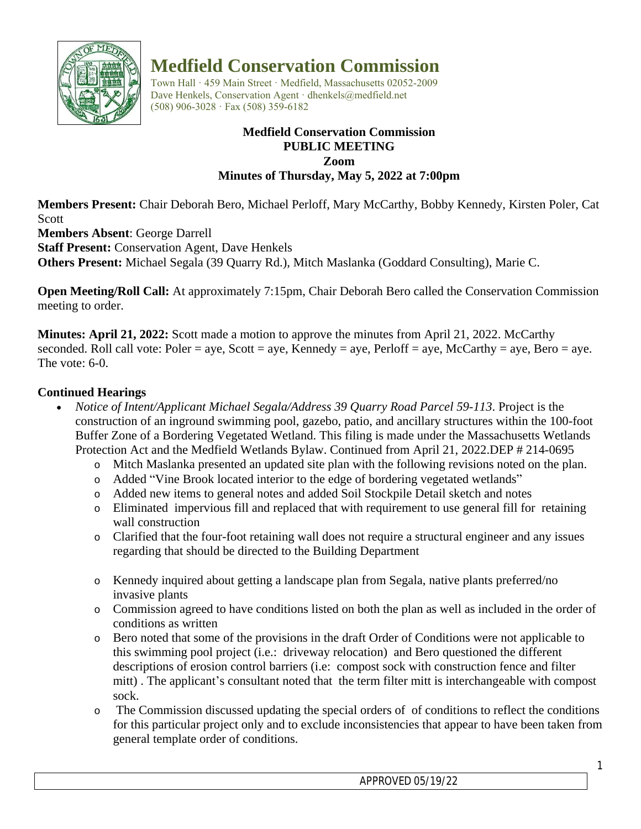

# **Medfield Conservation Commission**

Town Hall · 459 Main Street · Medfield, Massachusetts 02052-2009 Dave Henkels, Conservation Agent · dhenkels@medfield.net (508) 906-3028 · Fax (508) 359-6182

#### **Medfield Conservation Commission PUBLIC MEETING Zoom Minutes of Thursday, May 5, 2022 at 7:00pm**

**Members Present:** Chair Deborah Bero, Michael Perloff, Mary McCarthy, Bobby Kennedy, Kirsten Poler, Cat Scott

**Members Absent**: George Darrell

**Staff Present:** Conservation Agent, Dave Henkels

**Others Present:** Michael Segala (39 Quarry Rd.), Mitch Maslanka (Goddard Consulting), Marie C.

**Open Meeting/Roll Call:** At approximately 7:15pm, Chair Deborah Bero called the Conservation Commission meeting to order.

**Minutes: April 21, 2022:** Scott made a motion to approve the minutes from April 21, 2022. McCarthy seconded. Roll call vote: Poler = aye, Scott = aye, Kennedy = aye, Perloff = aye, McCarthy = aye, Bero = aye. The vote: 6-0.

# **Continued Hearings**

- *Notice of Intent/Applicant Michael Segala/Address 39 Quarry Road Parcel 59-113*. Project is the construction of an inground swimming pool, gazebo, patio, and ancillary structures within the 100-foot Buffer Zone of a Bordering Vegetated Wetland. This filing is made under the Massachusetts Wetlands Protection Act and the Medfield Wetlands Bylaw. Continued from April 21, 2022.DEP # 214-0695
	- o Mitch Maslanka presented an updated site plan with the following revisions noted on the plan.
	- o Added "Vine Brook located interior to the edge of bordering vegetated wetlands"
	- o Added new items to general notes and added Soil Stockpile Detail sketch and notes
	- o Eliminated impervious fill and replaced that with requirement to use general fill for retaining wall construction
	- o Clarified that the four-foot retaining wall does not require a structural engineer and any issues regarding that should be directed to the Building Department
	- o Kennedy inquired about getting a landscape plan from Segala, native plants preferred/no invasive plants
	- o Commission agreed to have conditions listed on both the plan as well as included in the order of conditions as written
	- o Bero noted that some of the provisions in the draft Order of Conditions were not applicable to this swimming pool project (i.e.: driveway relocation) and Bero questioned the different descriptions of erosion control barriers (i.e: compost sock with construction fence and filter mitt) . The applicant's consultant noted that the term filter mitt is interchangeable with compost sock.
	- o The Commission discussed updating the special orders of of conditions to reflect the conditions for this particular project only and to exclude inconsistencies that appear to have been taken from general template order of conditions.

*APPROVED 05/19/22*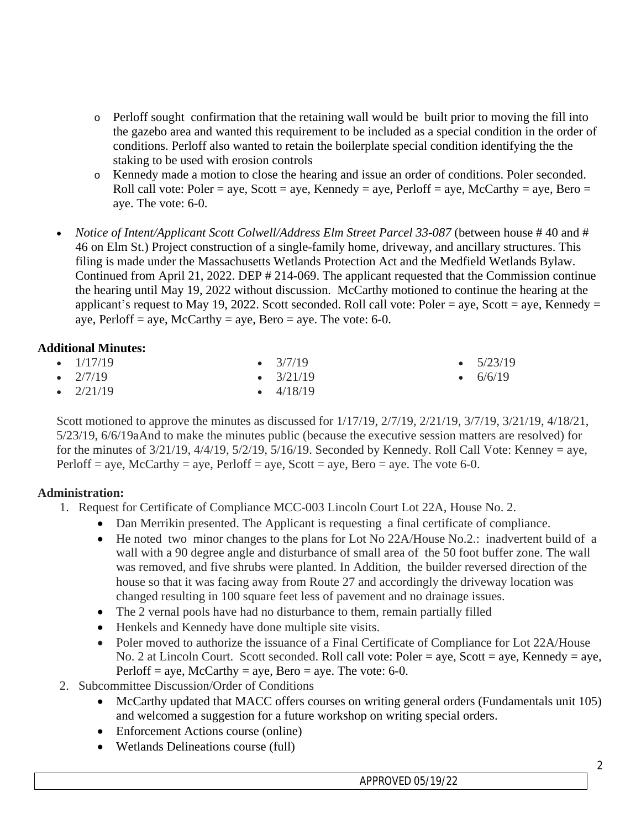- $\circ$  Perloff sought confirmation that the retaining wall would be built prior to moving the fill into the gazebo area and wanted this requirement to be included as a special condition in the order of conditions. Perloff also wanted to retain the boilerplate special condition identifying the the staking to be used with erosion controls
- o Kennedy made a motion to close the hearing and issue an order of conditions. Poler seconded. Roll call vote: Poler = aye, Scott = aye, Kennedy = aye, Perloff = aye, McCarthy = aye, Bero = aye. The vote: 6-0.
- *Notice of Intent/Applicant Scott Colwell/Address Elm Street Parcel 33-087* (between house # 40 and # 46 on Elm St.) Project construction of a single-family home, driveway, and ancillary structures. This filing is made under the Massachusetts Wetlands Protection Act and the Medfield Wetlands Bylaw. Continued from April 21, 2022. DEP # 214-069. The applicant requested that the Commission continue the hearing until May 19, 2022 without discussion. McCarthy motioned to continue the hearing at the applicant's request to May 19, 2022. Scott seconded. Roll call vote: Poler = aye, Scott = aye, Kennedy = aye, Perloff = aye, McCarthy = aye, Bero = aye. The vote:  $6-0$ .

## **Additional Minutes:**

| • $1/17/19$ | $\bullet$ 3/7/19  | $\bullet$ 5/23/19 |
|-------------|-------------------|-------------------|
| • $2/7/19$  | $\bullet$ 3/21/19 | • $6/6/19$        |
| • $2/21/19$ | $\bullet$ 4/18/19 |                   |

Scott motioned to approve the minutes as discussed for  $1/17/19$ ,  $2/7/19$ ,  $2/21/19$ ,  $3/7/19$ ,  $3/21/19$ ,  $4/18/21$ , 5/23/19, 6/6/19aAnd to make the minutes public (because the executive session matters are resolved) for for the minutes of  $3/21/19$ ,  $4/4/19$ ,  $5/2/19$ ,  $5/16/19$ . Seconded by Kennedy. Roll Call Vote: Kenney = aye, Perloff = aye, McCarthy = aye, Perloff = aye, Scott = aye, Bero = aye. The vote 6-0.

# **Administration:**

- 1. Request for Certificate of Compliance MCC-003 Lincoln Court Lot 22A, House No. 2.
	- Dan Merrikin presented. The Applicant is requesting a final certificate of compliance.
	- He noted two minor changes to the plans for Lot No 22A/House No.2.: inadvertent build of a wall with a 90 degree angle and disturbance of small area of the 50 foot buffer zone. The wall was removed, and five shrubs were planted. In Addition, the builder reversed direction of the house so that it was facing away from Route 27 and accordingly the driveway location was changed resulting in 100 square feet less of pavement and no drainage issues.
	- The 2 vernal pools have had no disturbance to them, remain partially filled
	- Henkels and Kennedy have done multiple site visits.
	- Poler moved to authorize the issuance of a Final Certificate of Compliance for Lot 22A/House No. 2 at Lincoln Court. Scott seconded. Roll call vote: Poler = aye, Scott = aye, Kennedy = aye, Perloff = aye,  $McCarthy = aye$ ,  $Bero = aye$ . The vote: 6-0.
- 2. Subcommittee Discussion/Order of Conditions
	- McCarthy updated that MACC offers courses on writing general orders (Fundamentals unit 105) and welcomed a suggestion for a future workshop on writing special orders.
	- Enforcement Actions course (online)
	- Wetlands Delineations course (full)